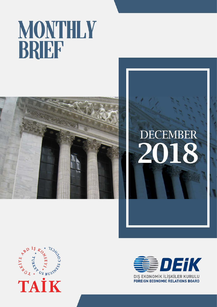# **MONTHLY** BRIEF



# **DECEMBER** 2018



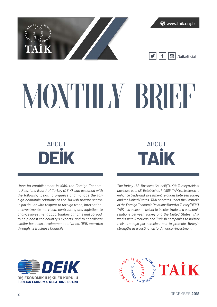

# MONTHLY BRIEF

## **DEİK TAİK** ABOUT ABOUT

*Upon its establishment in 1986, the Foreign Economic Relations Board of Turkey (DEİK) was assigned with the following tasks: to organize and manage the foreign economic relations of the Turkish private sector, in particular with respect to foreign trade, international investments, services, contracting and logistics; to analyze investment opportunities at home and abroad; to help boost the country's exports, and to coordinate similar business development activities. DEİK operates through its Business Councils.*

*The Turkey-U.S. Business Council (TAİK) is Turkey's oldest business council. Established in 1985, TAİK's mission is to enhance trade and investment relations between Turkey and the United States. TAİK operates under the umbrella of the Foreign Economic Relations Board of Turkey (DEİK). TAİK has a clear mission: to bolster trade and economic relations between Turkey and the United States. TAİK works with American and Turkish companies to bolster their strategic partnerships, and to promote Turkey's strengths as a destination for American investment.*





2 DECEMBER **2018**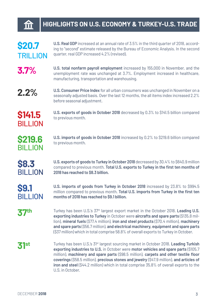#### **HIGHLIGHTS ON U.S. ECONOMY & TURKEY-U.S. TRADE**



ÎĪĪ

**U.S. Real GDP** increased at an annual rate of 3.5% in the third quarter of 2018, according to "second" estimate released by the Bureau of Economic Analysis. In the second quarter, real GDP increased 4.2% (revised).

**U.S. total nonfarm payroll employment** increased by 155,000 in November, and the unemployment rate was unchanged at 3.7%. Employment increased in healthcare, manufacturing, transportation and warehousing.

**2.2%**

**3.7%**

**U.S. Consumer Price Index** for all urban consumers was unchanged in November on a seasonally adjusted basis. Over the last 12 months, the all items index increased 2.2% before seasonal adjustment.



**U.S. exports of goods in October 2018** decreased by 0.3% to \$141.5 billion compared to previous month.



**U.S. imports of goods in October 2018** increased by 0.2% to \$219.6 billion compared to previous month.

**\$8.3** BILLION **U.S. exports of goods to Turkey in October 2018** decreased by 30.4% to \$640.9 million compared to previous month. **Total U.S. exports to Turkey in the first ten months of 2018 has reached to \$8.3 billion.**

**\$9.1** BILLION

**U.S. imports of goods from Turkey in October 2018** increased by 23.8% to \$994.5 million compared to previous month. **Total U.S. imports from Turkey in the first ten months of 2018 has reached to \$9.1 billion.**

Turkey has been U.S.'s 37th largest export market in the October 2018. **Leading U.S. exporting industries to Turkey** in October were **aircrafts and spare parts** (\$135.8 million), **mineral fuels** (\$77.4 million), **iron and steel products** (\$70.4 million), **machinery and spare parts** (\$56.7 million), **and electrical machinery, equipment and spare parts**  (\$37 million) which in total comprise 58.8% of overall exports to Turkey in October. **37th**

Turkey has been U.S.'s 31st largest sourcing market in October 2018. **Leading Turkish exporting industries to U.S.** in October were **motor vehicles and spare parts** (\$105.7 million), **machinery and spare parts** (\$98.5 million), **carpets and other textile floor coverings** (\$58.5 million), **precious stones and jewelry** (\$47.9 million), **and articles of iron and steel** (\$44.2 million) which in total comprise 35.8% of overall exports to the U.S. in October. **31st**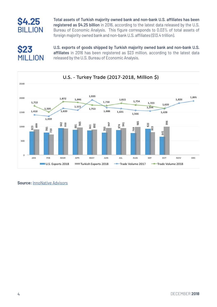

**Total assets of Turkish majority owned bank and non-bank U.S. affiliates has been registered as \$4.25 billion** in 2016, according to the latest data released by the U.S. Bureau of Economic Analysis. This figure corresponds to 0.03% of total assets of foreign majority owned bank and non-bank U.S. affiliates (\$13.4 trillion).

#### **\$23** MILLION

**U.S. exports of goods shipped by Turkish majority owned bank and non-bank U.S. affiliates** in 2016 has been registered as \$23 million, according to the latest data released by the U.S. Bureau of Economic Analysis.



#### **Source:** [InnoNative Advisors](http://innonativeadvisors.com/)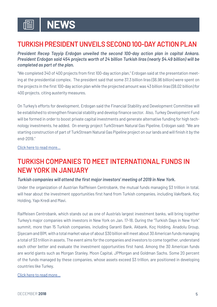## **NEWS**

#### **TURKISH PRESIDENT UNVEILS SECOND 100-DAY ACTION PLAN**

*President Recep Tayyip Erdoğan unveiled the second 100-day action plan in capital Ankara. President Erdoğan said 454 projects worth of 24 billion Turkish liras (nearly \$4.49 billion) will be completed as part of the plan.* 

"We completed 340 of 400 projects from first 100-day action plan," Erdogan said at the presentation meeting at the presidential complex. The president said that some 37.3 billion liras (\$6.96 billion) were spent on the projects in the first 100-day action plan while the projected amount was 43 billion liras (\$8.02 billion) for 400 projects, citing austerity measures.

On Turkey's efforts for development, Erdogan said the Financial Stability and Development Committee will be established to strengthen financial stability and develop finance sector. Also, Turkey Development Fund will be formed in order to boost private capital investments and generate alternative funding for high technology investments, he added. On energy project TurkStream Natural Gas Pipeline, Erdogan said: "We are starting construction of part of TurkStream Natural Gas Pipeline project on our lands and will finish it by the end-2019."

[Click here to read more…](https://www.aa.com.tr/en/economy/turkish-president-unveils-second-100-day-action-plan/1337889)

#### **TURKISH COMPANIES TO MEET INTERNATIONAL FUNDS IN NEW YORK IN JANUARY**

#### *Turkish companies will attend the first major investors' meeting of 2019 in New York.*

Under the organization of Austrian Raiffeisen Centrobank, the mutual funds managing \$3 trillion in total, will hear about the investment opportunities first hand from Turkish companies, including Vakıfbank, Koç Holding, Yapı Kredi and Mavi.

Raiffeisen Centrobank, which stands out as one of Austria's largest investment banks, will bring together Turkey's major companies with investors in New York on Jan. 17-18. During the "Turkish Days in New York" summit, more than 15 Turkish companies, including Garanti Bank, Akbank, Koç Holding, Anadolu Group, Şişecam and BİM, with a total market value of about \$30 billion will meet about 30 American funds managing a total of \$3 trillion in assets. The event aims for the companies and investors to come together, understand each other better and evaluate the investment opportunities first hand. Among the 30 American funds are world giants such as Morgan Stanley, Moon Capital, JPMorgan and Goldman Sachs. Some 20 percent of the funds managed by these companies, whose assets exceed \$3 trillion, are positioned in developing countries like Turkey.

[Click here to read more…](https://www.dailysabah.com/business/2018/12/18/turkish-companies-to-meet-international-funds-in-new-york-in-january)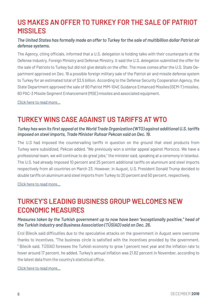#### **US MAKES AN OFFER TO TURKEY FOR THE SALE OF PATRIOT MISSILES**

#### *The United States has formally made an offer to Turkey for the sale of multibillion dollar Patriot air defense systems.*

The Agency, citing officials, informed that a U.S. delegation is holding talks with their counterparts at the Defense Industry, Foreign Ministry and Defense Ministry. It said the U.S. delegation submitted the offer for the sale of Patriots to Turkey but did not give details on the offer. The move comes after the U.S. State Department approved on Dec. 18 a possible foreign military sale of the Patriot air and missile defense system to Turkey for an estimated total of \$3.5 billion. According to the Defense Security Cooperation Agency, the State Department approved the sale of 80 Patriot MIM-104E Guidance Enhanced Missiles (GEM-T) missiles, 60 PAC-3 Missile Segment Enhancement (MSE) missiles and associated equipment.

[Click here to read more…](http://www.hurriyetdailynews.com/us-makes-an-offer-to-turkey-for-the-sale-of-patriot-missiles-140228)

#### **TURKEY WINS CASE AGAINST US TARIFFS AT WTO**

#### *Turkey has won its first appeal at the World Trade Organization (WTO) against additional U.S. tariffs imposed on steel imports, Trade Minister Ruhsar Pekcan said on Dec. 19.*

The U.S had imposed the countervailing tariffs in question on the ground that steel products from Turkey were subsidized, Pekcan added. "We previously won a similar appeal against Morocco. We have a professional team, we will continue to do great jobs," the minister said, speaking at a ceremony in Istanbul. The U.S. had already imposed 10 percent and 25 percent additional tariffs on aluminum and steel imports respectively from all countries on March 23. However, in August, U.S. President Donald Trump decided to double tariffs on aluminum and steel imports from Turkey to 20 percent and 50 percent, respectively.

[Click here to read more…](http://www.hurriyetdailynews.com/turkey-wins-case-against-us-tariffs-at-wto-139864)

#### **TURKEY'S LEADING BUSINESS GROUP WELCOMES NEW ECONOMIC MEASURES**

#### *Measures taken by the Turkish government up to now have been "exceptionally positive," head of the Turkish Industry and Business Association (TÜSİAD) said on Dec. 26.*

Erol Bilecik said difficulties due to the speculative attacks on the government in August were overcome thanks to incentives. "The business circle is satisfied with the incentives provided by the government, " Bilecik said. TÜSİAD foresees the Turkish economy to grow 1 percent next year and the inflation rate to hover around 17 percent, he added. Turkey's annual inflation was 21.62 percent in November, according to the latest data from the country's statistical office.

#### [Click here to read more…](http://www.hurriyetdailynews.com/business-group-welcomes-new-economic-measures-140025)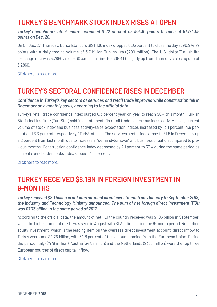#### **TURKEY'S BENCHMARK STOCK INDEX RISES AT OPEN**

#### *Turkey's benchmark stock index increased 0.22 percent or 199.30 points to open at 91,174.09 points on Dec. 28.*

On On Dec. 27, Thursday, Borsa Istanbul's BIST 100 index dropped 0.03 percent to close the day at 90,974.79 points with a daily trading volume of 3.7 billion Turkish lira (\$700 million). The U.S. dollar/Turkish lira exchange rate was 5.2890 as of 9.30 a.m. local time (0630GMT), slightly up from Thursday's closing rate of 5.2860.

[Click here to read more…](https://www.yenisafak.com/en/news/turkeys-benchmark-stock-index-rises-at-open-3470308)

#### **TURKEY'S SECTORAL CONFIDENCE RISES IN DECEMBER**

#### *Confidence in Turkey's key sectors of services and retail trade improved while construction fell in December on a monthly basis, according to the official data*

Turkey's retail trade confidence index surged 6.3 percent year-on-year to reach 96.4 this month, Turkish Statistical Institute (TurkStat) said in a statement. "In retail trade sector; business activity-sales, current volume of stock index and business activity-sales expectation indices increased by 13.1 percent, 4.6 percent and 3.3 percent, respectively," TurkStat said. The services sector index rose to 81.5 in December, up 2.2 percent from last month due to increase in "demand-turnover" and business situation compared to previous months. Construction confidence index decreased by 2.1 percent to 55.4 during the same period as current overall order books index slipped 13.5 percent.

[Click here to read more…](http://www.anews.com.tr/economy/2018/12/26/turkeys-sectoral-confidence-rises-in-december)

#### **TURKEY RECEIVED \$8.1BN IN FOREIGN INVESTMENT IN 9-MONTHS**

#### *Turkey received \$8.1 billion in net international direct investment from January to September 2018, the Industry and Technology Ministry announced. The sum of net foreign direct investment (FDI) was \$7.76 billion in the same period of 2017.*

According to the official data, the amount of net FDI the country received was \$1.06 billion in September, while the highest amount of FDI was seen in August with \$1.3 billion during the 9-month period. Regarding equity investment, which is the leading item on the overseas direct investment account, direct inflow to Turkey was some \$4.26 billion, with 64.8 percent of this amount coming from the European Union. During the period, Italy (\$478 million), Austria (\$418 million) and the Netherlands (\$338 million) were the top three European sources of direct capital inflow.

[Click here to read more…](https://www.middleeastmonitor.com/20181223-turkey-received-8-1b-in-foreign-investment-in-9-month/)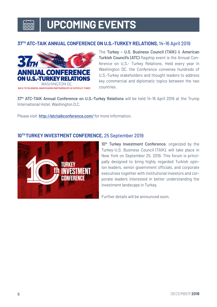

### **UPCOMING EVENTS**

#### **37TH ATC-TAIK ANNUAL CONFERENCE ON U.S.-TURKEY RELATIONS,** 14-16 April 2019



The **Turkey – U.S. Business Council (TAİK)** & **American Turkish Council's (ATC)** flagship event is the Annual Conference on U.S.- Turkey Relations. Held every year in Washington DC, the Conference convenes hundreds of U.S.-Turkey stakeholders and thought leaders to address key commercial and diplomatic topics between the two countries.

**37th ATC-TAIK Annual Conference on U.S.-Turkey Relations** will be held 14-16 April 2019 at the Trump International Hotel, Washington D.C.

Please visit **http://atctaikconference.com/** for more information.

#### **10TH TURKEY INVESTMENT CONFERENCE,** 25 September 2019



10<sup>th</sup> Turkey Investment Conference, organized by the Turkey-U.S. Business Council (TAIK), will take place in New York on September 25, 2019. This forum is principally designed to bring highly regarded Turkish opinion leaders, senior government officials, and corporate executives together with institutional investors and corporate leaders interested in better understanding the investment landscape in Turkey.

Further details will be announced soon.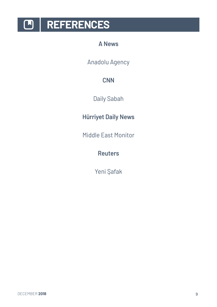

#### **A News**

Anadolu Agency

#### **CNN**

Daily Sabah

**Hürriyet Daily News**

Middle East Monitor

**Reuters**

Yeni Şafak